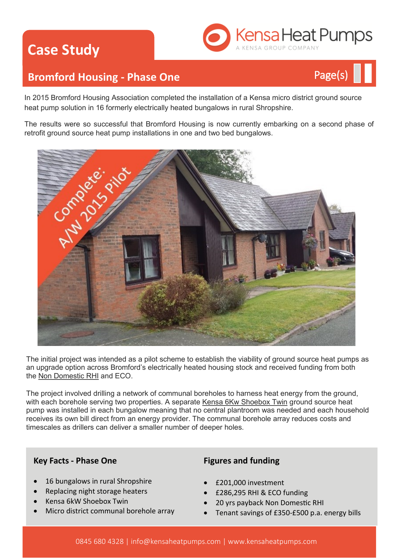# **Case Study**



# **Bromford Housing - Phase One Page(s)**



The results were so successful that Bromford Housing is now currently embarking on a second phase of retrofit ground source heat pump installations in one and two bed bungalows.



The initial project was intended as a pilot scheme to establish the viability of ground source heat pumps as an upgrade option across Bromford's electrically heated housing stock and received funding from both the [Non Domestic RHI](http://www.kensaheatpumps.com/grants-incentives/rhi-1-non-domestic/non-domestic-rhi-up-close/) and ECO.

The project involved drilling a network of communal boreholes to harness heat energy from the ground, with each borehole serving two properties. A separate [Kensa 6Kw Shoebox Twin](http://www.kensaheatpumps.com/product/shoebox-twin-2/) ground source heat pump was installed in each bungalow meaning that no central plantroom was needed and each household receives its own bill direct from an energy provider. The communal borehole array reduces costs and timescales as drillers can deliver a smaller number of deeper holes.

### **Key Facts - Phase One**

- 16 bungalows in rural Shropshire
- Replacing night storage heaters
- Kensa 6kW Shoebox Twin
- Micro district communal borehole array

### **Figures and funding**

- £201,000 investment
- £286,295 RHI & ECO funding
- 20 yrs payback Non Domestic RHI
- Tenant savings of £350-£500 p.a. energy bills